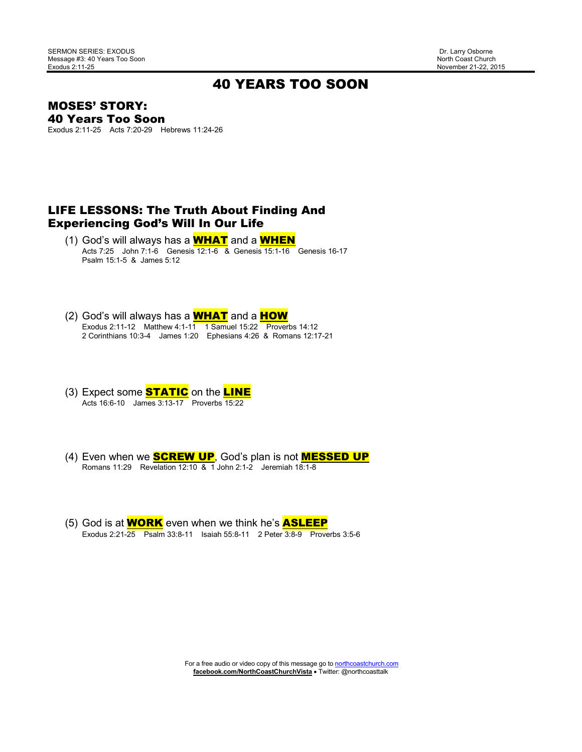November 21-22, 2015

### 40 YEARS TOO SOON

MOSES' STORY: 40 Years Too Soon

Exodus 2:11-25 Acts 7:20-29 Hebrews 11:24-26

#### LIFE LESSONS: The Truth About Finding And Experiencing God's Will In Our Life

- (1) God's will always has a WHAT and a WHEN Acts 7:25 John 7:1-6 Genesis 12:1-6 & Genesis 15:1-16 Genesis 16-17 Psalm 15:1-5 & James 5:12
- (2) God's will always has a **WHAT** and a **HOW**  Exodus 2:11-12 Matthew 4:1-11 1 Samuel 15:22 Proverbs 14:12 2 Corinthians 10:3-4 James 1:20 Ephesians 4:26 & Romans 12:17-21
- (3) Expect some **STATIC** on the **LINE** Acts 16:6-10 James 3:13-17 Proverbs 15:22
- (4) Even when we **SCREW UP**, God's plan is not **MESSED UP** Romans 11:29 Revelation 12:10 & 1 John 2:1-2 Jeremiah 18:1-8
- (5) God is at **WORK** even when we think he's **ASLEEP** Exodus 2:21-25 Psalm 33:8-11 Isaiah 55:8-11 2 Peter 3:8-9 Proverbs 3:5-6

For a free audio or video copy of this message go to northcoastchurch.com **facebook.com/NorthCoastChurchVista** • Twitter: @northcoasttalk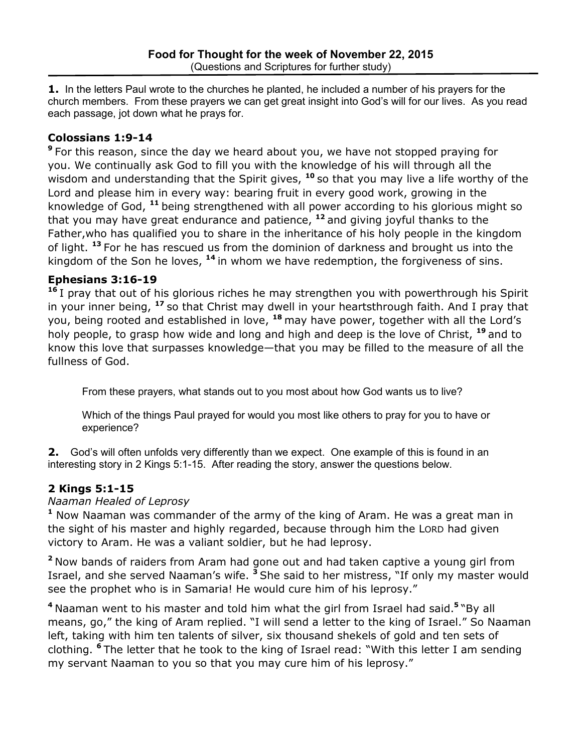**1.** In the letters Paul wrote to the churches he planted, he included a number of his prayers for the church members. From these prayers we can get great insight into God's will for our lives. As you read each passage, jot down what he prays for.

## **Colossians 1:9-14**

**<sup>9</sup>**For this reason, since the day we heard about you, we have not stopped praying for you. We continually ask God to fill you with the knowledge of his will through all the wisdom and understanding that the Spirit gives, <sup>10</sup> so that you may live a life worthy of the Lord and please him in every way: bearing fruit in every good work, growing in the knowledge of God, **<sup>11</sup>**being strengthened with all power according to his glorious might so that you may have great endurance and patience, **<sup>12</sup>**and giving joyful thanks to the Father,who has qualified you to share in the inheritance of his holy people in the kingdom of light. **<sup>13</sup>**For he has rescued us from the dominion of darkness and brought us into the kingdom of the Son he loves, **<sup>14</sup>**in whom we have redemption, the forgiveness of sins.

## **Ephesians 3:16-19**

**<sup>16</sup>**I pray that out of his glorious riches he may strengthen you with powerthrough his Spirit in your inner being, **<sup>17</sup>**so that Christ may dwell in your heartsthrough faith. And I pray that you, being rooted and established in love, **<sup>18</sup>**may have power, together with all the Lord's holy people, to grasp how wide and long and high and deep is the love of Christ, **<sup>19</sup>**and to know this love that surpasses knowledge—that you may be filled to the measure of all the fullness of God.

From these prayers, what stands out to you most about how God wants us to live?

Which of the things Paul prayed for would you most like others to pray for you to have or experience?

**2.** God's will often unfolds very differently than we expect. One example of this is found in an interesting story in 2 Kings 5:1-15. After reading the story, answer the questions below.

# **2 Kings 5:1-15**

## *Naaman Healed of Leprosy*

**<sup>1</sup>** Now Naaman was commander of the army of the king of Aram. He was a great man in the sight of his master and highly regarded, because through him the LORD had given victory to Aram. He was a valiant soldier, but he had leprosy.

**<sup>2</sup>**Now bands of raiders from Aram had gone out and had taken captive a young girl from Israel, and she served Naaman's wife. **<sup>3</sup>**She said to her mistress, "If only my master would see the prophet who is in Samaria! He would cure him of his leprosy."

**<sup>4</sup>**Naaman went to his master and told him what the girl from Israel had said.**<sup>5</sup>**"By all means, go," the king of Aram replied. "I will send a letter to the king of Israel." So Naaman left, taking with him ten talents of silver, six thousand shekels of gold and ten sets of clothing. **<sup>6</sup>**The letter that he took to the king of Israel read: "With this letter I am sending my servant Naaman to you so that you may cure him of his leprosy."